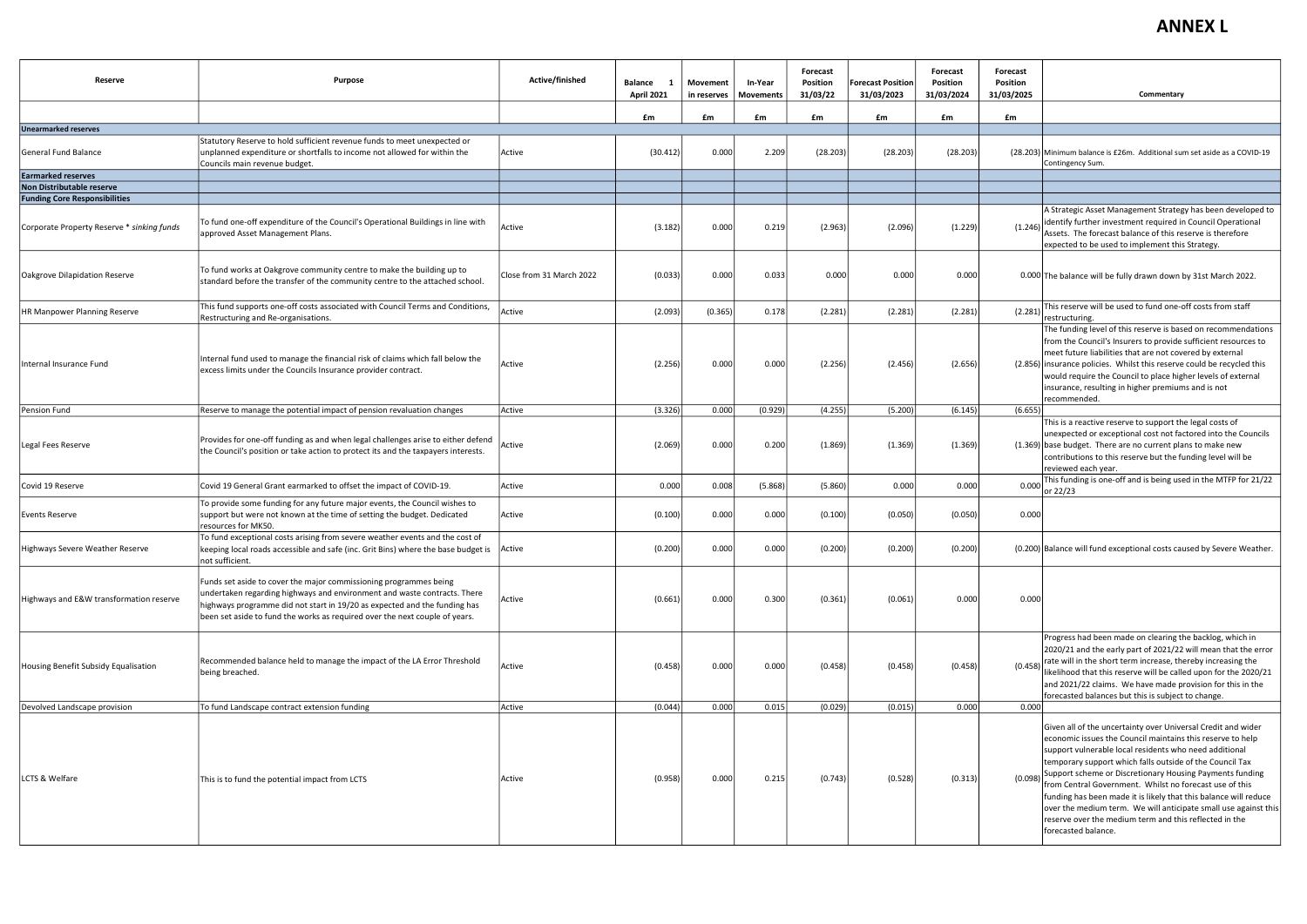| Reserve                                    | <b>Purpose</b>                                                                                                                                                                                                                                                                                            | Active/finished          | <b>Balance</b><br>- 1<br><b>April 2021</b> | Movement<br>in reserves | In-Year<br><b>Movements</b> | Forecast<br>Position<br>31/03/22 | <b>Forecast Position</b><br>31/03/2023 | <b>Forecast</b><br>Position<br>31/03/2024 | Forecast<br>Position<br>31/03/2025 | Commentary                                                                                                                                                                                                                                                                                                                                                                                                                                                                                                                                                                                      |
|--------------------------------------------|-----------------------------------------------------------------------------------------------------------------------------------------------------------------------------------------------------------------------------------------------------------------------------------------------------------|--------------------------|--------------------------------------------|-------------------------|-----------------------------|----------------------------------|----------------------------------------|-------------------------------------------|------------------------------------|-------------------------------------------------------------------------------------------------------------------------------------------------------------------------------------------------------------------------------------------------------------------------------------------------------------------------------------------------------------------------------------------------------------------------------------------------------------------------------------------------------------------------------------------------------------------------------------------------|
|                                            |                                                                                                                                                                                                                                                                                                           |                          | £m                                         | £m                      | £m                          | £m                               | £m                                     | £m                                        | £m                                 |                                                                                                                                                                                                                                                                                                                                                                                                                                                                                                                                                                                                 |
| <b>Unearmarked reserves</b>                |                                                                                                                                                                                                                                                                                                           |                          |                                            |                         |                             |                                  |                                        |                                           |                                    |                                                                                                                                                                                                                                                                                                                                                                                                                                                                                                                                                                                                 |
| <b>General Fund Balance</b>                | Statutory Reserve to hold sufficient revenue funds to meet unexpected or<br>unplanned expenditure or shortfalls to income not allowed for within the<br>Councils main revenue budget.                                                                                                                     | Active                   | (30.412)                                   | 0.000                   | 2.209                       | (28.203)                         | (28.203)                               | (28.203)                                  |                                    | (28.203) Minimum balance is £26m. Additional sum set aside as a COVID-19<br>Contingency Sum.                                                                                                                                                                                                                                                                                                                                                                                                                                                                                                    |
| <b>Earmarked reserves</b>                  |                                                                                                                                                                                                                                                                                                           |                          |                                            |                         |                             |                                  |                                        |                                           |                                    |                                                                                                                                                                                                                                                                                                                                                                                                                                                                                                                                                                                                 |
| Non Distributable reserve                  |                                                                                                                                                                                                                                                                                                           |                          |                                            |                         |                             |                                  |                                        |                                           |                                    |                                                                                                                                                                                                                                                                                                                                                                                                                                                                                                                                                                                                 |
| <b>Funding Core Responsibilities</b>       |                                                                                                                                                                                                                                                                                                           |                          |                                            |                         |                             |                                  |                                        |                                           |                                    |                                                                                                                                                                                                                                                                                                                                                                                                                                                                                                                                                                                                 |
| Corporate Property Reserve * sinking funds | To fund one-off expenditure of the Council's Operational Buildings in line with<br>approved Asset Management Plans.                                                                                                                                                                                       | Active                   | (3.182)                                    | 0.000                   | 0.219                       | (2.963)                          | (2.096)                                | (1.229)                                   | (1.246)                            | A Strategic Asset Management Strategy has been developed to<br>identify further investment required in Council Operational<br>Assets. The forecast balance of this reserve is therefore<br>expected to be used to implement this Strategy.                                                                                                                                                                                                                                                                                                                                                      |
| Oakgrove Dilapidation Reserve              | To fund works at Oakgrove community centre to make the building up to<br>standard before the transfer of the community centre to the attached school.                                                                                                                                                     | Close from 31 March 2022 | (0.033)                                    | 0.000                   | 0.033                       | 0.000                            | 0.000                                  | 0.000                                     |                                    | 0.000 The balance will be fully drawn down by 31st March 2022.                                                                                                                                                                                                                                                                                                                                                                                                                                                                                                                                  |
| HR Manpower Planning Reserve               | This fund supports one-off costs associated with Council Terms and Conditions,<br>Restructuring and Re-organisations.                                                                                                                                                                                     | Active                   | (2.093)                                    | (0.365)                 | 0.178                       | (2.281)                          | (2.281)                                | (2.281)                                   | (2.281)                            | This reserve will be used to fund one-off costs from staff<br>restructuring.                                                                                                                                                                                                                                                                                                                                                                                                                                                                                                                    |
| Internal Insurance Fund                    | Internal fund used to manage the financial risk of claims which fall below the<br>excess limits under the Councils Insurance provider contract.                                                                                                                                                           | Active                   | (2.256)                                    | 0.000                   | 0.000                       | (2.256)                          | (2.456)                                | (2.656)                                   |                                    | The funding level of this reserve is based on recommendations<br>from the Council's Insurers to provide sufficient resources to<br>meet future liabilities that are not covered by external<br>(2.856) insurance policies. Whilst this reserve could be recycled this<br>would require the Council to place higher levels of external<br>insurance, resulting in higher premiums and is not<br>recommended.                                                                                                                                                                                     |
| Pension Fund                               | Reserve to manage the potential impact of pension revaluation changes                                                                                                                                                                                                                                     | Active                   | (3.326)                                    | 0.000                   | (0.929)                     | (4.255)                          | (5.200)                                | (6.145)                                   | (6.655)                            |                                                                                                                                                                                                                                                                                                                                                                                                                                                                                                                                                                                                 |
| Legal Fees Reserve                         | Provides for one-off funding as and when legal challenges arise to either defend<br>the Council's position or take action to protect its and the taxpayers interests.                                                                                                                                     | Active                   | (2.069)                                    | 0.000                   | 0.200                       | (1.869)                          | (1.369)                                | (1.369)                                   |                                    | This is a reactive reserve to support the legal costs of<br>unexpected or exceptional cost not factored into the Councils<br>(1.369) base budget. There are no current plans to make new<br>contributions to this reserve but the funding level will be<br>reviewed each year.                                                                                                                                                                                                                                                                                                                  |
| Covid 19 Reserve                           | Covid 19 General Grant earmarked to offset the impact of COVID-19.                                                                                                                                                                                                                                        | Active                   | 0.000                                      | 0.008                   | (5.868)                     | (5.860)                          | 0.000                                  | 0.000                                     | 0.000                              | This funding is one-off and is being used in the MTFP for 21/22<br>or 22/23                                                                                                                                                                                                                                                                                                                                                                                                                                                                                                                     |
| <b>Events Reserve</b>                      | To provide some funding for any future major events, the Council wishes to<br>support but were not known at the time of setting the budget. Dedicated<br>resources for MK50                                                                                                                               | Active                   | (0.100)                                    | 0.000                   | 0.000                       | (0.100)                          | (0.050)                                | (0.050)                                   | 0.000                              |                                                                                                                                                                                                                                                                                                                                                                                                                                                                                                                                                                                                 |
| Highways Severe Weather Reserve            | To fund exceptional costs arising from severe weather events and the cost of<br>keeping local roads accessible and safe (inc. Grit Bins) where the base budget is Active<br>not sufficient.                                                                                                               |                          | (0.200)                                    | 0.000                   | 0.000                       | (0.200)                          | (0.200)                                | (0.200)                                   |                                    | (0.200) Balance will fund exceptional costs caused by Severe Weather.                                                                                                                                                                                                                                                                                                                                                                                                                                                                                                                           |
| Highways and E&W transformation reserve    | Funds set aside to cover the major commissioning programmes being<br>undertaken regarding highways and environment and waste contracts. There<br>highways programme did not start in 19/20 as expected and the funding has<br>been set aside to fund the works as required over the next couple of years. | Active                   | (0.661)                                    | 0.000                   | 0.300                       | (0.361)                          | (0.061)                                | 0.000                                     | 0.000                              |                                                                                                                                                                                                                                                                                                                                                                                                                                                                                                                                                                                                 |
| Housing Benefit Subsidy Equalisation       | Recommended balance held to manage the impact of the LA Error Threshold<br>being breached.                                                                                                                                                                                                                | Active                   | (0.458)                                    | 0.000                   | 0.000                       | (0.458)                          | (0.458)                                | (0.458)                                   | (0.458)                            | Progress had been made on clearing the backlog, which in<br>2020/21 and the early part of 2021/22 will mean that the error<br>rate will in the short term increase, thereby increasing the<br>likelihood that this reserve will be called upon for the 2020/21<br>and 2021/22 claims. We have made provision for this in the<br>forecasted balances but this is subject to change.                                                                                                                                                                                                              |
| Devolved Landscape provision               | To fund Landscape contract extension funding                                                                                                                                                                                                                                                              | Active                   | (0.044)                                    | 0.000                   | 0.015                       | (0.029)                          | (0.015)                                | 0.000                                     | 0.000                              |                                                                                                                                                                                                                                                                                                                                                                                                                                                                                                                                                                                                 |
| LCTS & Welfare                             | This is to fund the potential impact from LCTS                                                                                                                                                                                                                                                            | Active                   | (0.958)                                    | 0.000                   | 0.215                       | (0.743)                          | (0.528)                                | (0.313)                                   | (0.098)                            | Given all of the uncertainty over Universal Credit and wider<br>economic issues the Council maintains this reserve to help<br>support vulnerable local residents who need additional<br>temporary support which falls outside of the Council Tax<br>Support scheme or Discretionary Housing Payments funding<br>from Central Government. Whilst no forecast use of this<br>funding has been made it is likely that this balance will reduce<br>over the medium term. We will anticipate small use against this<br>reserve over the medium term and this reflected in the<br>forecasted balance. |

## **ANNEX L**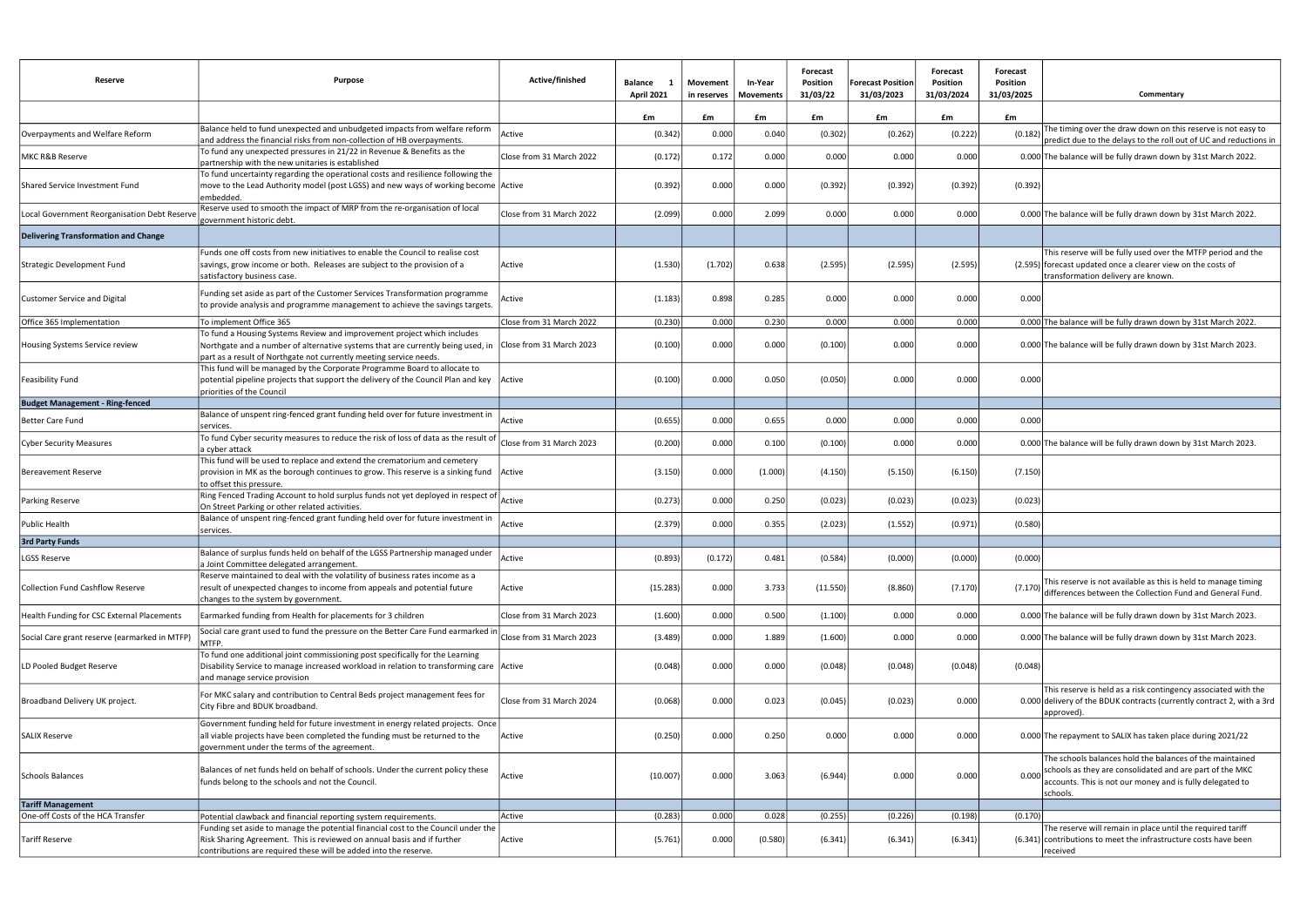| Reserve                                                       | <b>Purpose</b>                                                                                                                                                                                                                   | Active/finished          | <b>Balance</b><br>- 1<br>April 2021 | Movement<br>in reserves | In-Year<br>Movements | Forecast<br><b>Position</b><br>31/03/22 | <b>Forecast Position</b><br>31/03/2023 | Forecast<br>Position<br>31/03/2024 | Forecast<br><b>Position</b><br>31/03/2025<br>Commentary                                                                                                                                                |
|---------------------------------------------------------------|----------------------------------------------------------------------------------------------------------------------------------------------------------------------------------------------------------------------------------|--------------------------|-------------------------------------|-------------------------|----------------------|-----------------------------------------|----------------------------------------|------------------------------------|--------------------------------------------------------------------------------------------------------------------------------------------------------------------------------------------------------|
|                                                               |                                                                                                                                                                                                                                  |                          | £m                                  | £m                      | £m                   | £m                                      | £m                                     | £m                                 | £m                                                                                                                                                                                                     |
| Overpayments and Welfare Reform                               | Balance held to fund unexpected and unbudgeted impacts from welfare reform<br>and address the financial risks from non-collection of HB overpayments.                                                                            | Active                   | (0.342)                             | 0.000                   | 0.040                | (0.302)                                 | (0.262)                                | (0.222)                            | The timing over the draw down on this reserve is not easy to<br>(0.182)<br>predict due to the delays to the roll out of UC and reductions in                                                           |
| MKC R&B Reserve                                               | To fund any unexpected pressures in 21/22 in Revenue & Benefits as the<br>partnership with the new unitaries is established                                                                                                      | Close from 31 March 2022 | (0.172)                             | 0.172                   | 0.000                | 0.000                                   | 0.000                                  | 0.000                              | 0.000 The balance will be fully drawn down by 31st March 2022.                                                                                                                                         |
| Shared Service Investment Fund                                | To fund uncertainty regarding the operational costs and resilience following the<br>move to the Lead Authority model (post LGSS) and new ways of working become Active<br>embedded.                                              |                          | (0.392)                             | 0.000                   | 0.000                | (0.392)                                 | (0.392)                                | (0.392)                            | (0.392)                                                                                                                                                                                                |
| Local Government Reorganisation Debt Reserv                   | Reserve used to smooth the impact of MRP from the re-organisation of local<br>government historic debt.                                                                                                                          | Close from 31 March 2022 | (2.099)                             | 0.000                   | 2.099                | 0.000                                   | 0.000                                  | 0.000                              | 0.000 The balance will be fully drawn down by 31st March 2022.                                                                                                                                         |
| <b>Delivering Transformation and Change</b>                   |                                                                                                                                                                                                                                  |                          |                                     |                         |                      |                                         |                                        |                                    |                                                                                                                                                                                                        |
| Strategic Development Fund                                    | Funds one off costs from new initiatives to enable the Council to realise cost<br>savings, grow income or both. Releases are subject to the provision of a<br>satisfactory business case.                                        | Active                   | (1.530)                             | (1.702)                 | 0.638                | (2.595)                                 | (2.595)                                | (2.595)                            | This reserve will be fully used over the MTFP period and the<br>(2.595) forecast updated once a clearer view on the costs of<br>transformation delivery are known.                                     |
| Customer Service and Digital                                  | Funding set aside as part of the Customer Services Transformation programme<br>to provide analysis and programme management to achieve the savings targets.                                                                      | Active                   | (1.183)                             | 0.898                   | 0.285                | 0.000                                   | 0.000                                  | 0.000                              | 0.000                                                                                                                                                                                                  |
| Office 365 Implementation                                     | To implement Office 365                                                                                                                                                                                                          | Close from 31 March 2022 | (0.230)                             | 0.000                   | 0.230                | 0.000                                   | 0.000                                  | 0.000                              | 0.000 The balance will be fully drawn down by 31st March 2022.                                                                                                                                         |
| Housing Systems Service review                                | To fund a Housing Systems Review and improvement project which includes<br>Northgate and a number of alternative systems that are currently being used, in<br>part as a result of Northgate not currently meeting service needs. | Close from 31 March 2023 | (0.100)                             | 0.000                   | 0.000                | (0.100)                                 | 0.000                                  | 0.000                              | 0.000 The balance will be fully drawn down by 31st March 2023.                                                                                                                                         |
| Feasibility Fund                                              | This fund will be managed by the Corporate Programme Board to allocate to<br>potential pipeline projects that support the delivery of the Council Plan and key<br>priorities of the Council                                      | Active                   | (0.100)                             | 0.000                   | 0.050                | (0.050)                                 | 0.000                                  | 0.000                              | 0.000                                                                                                                                                                                                  |
| <b>Budget Management - Ring-fenced</b>                        |                                                                                                                                                                                                                                  |                          |                                     |                         |                      |                                         |                                        |                                    |                                                                                                                                                                                                        |
| Better Care Fund                                              | Balance of unspent ring-fenced grant funding held over for future investment in<br>services.                                                                                                                                     | Active                   | (0.655)                             | 0.000                   | 0.655                | 0.000                                   | 0.000                                  | 0.000                              | 0.000                                                                                                                                                                                                  |
| <b>Cyber Security Measures</b>                                | To fund Cyber security measures to reduce the risk of loss of data as the result of<br>a cyber attack                                                                                                                            | Close from 31 March 2023 | (0.200)                             | 0.000                   | 0.100                | (0.100)                                 | 0.000                                  | 0.000                              | 0.000 The balance will be fully drawn down by 31st March 2023.                                                                                                                                         |
| <b>Bereavement Reserve</b>                                    | This fund will be used to replace and extend the crematorium and cemetery<br>provision in MK as the borough continues to grow. This reserve is a sinking fund<br>to offset this pressure.                                        | Active                   | (3.150)                             | 0.000                   | (1.000)              | (4.150)                                 | (5.150)                                | (6.150)                            | (7.150)                                                                                                                                                                                                |
| <b>Parking Reserve</b>                                        | Ring Fenced Trading Account to hold surplus funds not yet deployed in respect of<br>On Street Parking or other related activities.                                                                                               | Active                   | (0.273)                             | 0.000                   | 0.250                | (0.023)                                 | (0.023)                                | (0.023)                            | (0.023)                                                                                                                                                                                                |
| <b>Public Health</b>                                          | Balance of unspent ring-fenced grant funding held over for future investment in<br>services.                                                                                                                                     | Active                   | (2.379)                             | 0.000                   | 0.355                | (2.023)                                 | (1.552)                                | (0.971)                            | (0.580)                                                                                                                                                                                                |
| <b>3rd Party Funds</b>                                        |                                                                                                                                                                                                                                  |                          |                                     |                         |                      |                                         |                                        |                                    |                                                                                                                                                                                                        |
| <b>LGSS Reserve</b>                                           | Balance of surplus funds held on behalf of the LGSS Partnership managed under<br>a Joint Committee delegated arrangement.                                                                                                        | Active                   | (0.893)                             | (0.172)                 | 0.481                | (0.584)                                 | (0.000)                                | (0.000)                            | (0.000)                                                                                                                                                                                                |
| <b>Collection Fund Cashflow Reserve</b>                       | Reserve maintained to deal with the volatility of business rates income as a<br>result of unexpected changes to income from appeals and potential future<br>changes to the system by government.                                 | Active                   | (15.283)                            | 0.000                   | 3.733                | (11.550)                                | (8.860)                                | (7.170)                            | This reserve is not available as this is held to manage timing<br>(7.170) differences between the Collection Fund and General Fund.                                                                    |
| Health Funding for CSC External Placements                    | Earmarked funding from Health for placements for 3 children                                                                                                                                                                      | Close from 31 March 2023 | (1.600)                             | 0.000                   | 0.500                | (1.100)                                 | 0.000                                  | 0.000                              | 0.000 The balance will be fully drawn down by 31st March 2023.                                                                                                                                         |
| Social Care grant reserve (earmarked in MTFP)                 | Social care grant used to fund the pressure on the Better Care Fund earmarked in<br>MTFP.                                                                                                                                        | Close from 31 March 2023 | (3.489)                             | 0.000                   | 1.889                | (1.600)                                 | 0.000                                  | 0.000                              | 0.000 The balance will be fully drawn down by 31st March 2023.                                                                                                                                         |
| LD Pooled Budget Reserve                                      | To fund one additional joint commissioning post specifically for the Learning<br>Disability Service to manage increased workload in relation to transforming care Active<br>and manage service provision                         |                          | (0.048)                             | 0.000                   | 0.000                | (0.048)                                 | (0.048)                                | (0.048)                            | (0.048)                                                                                                                                                                                                |
| Broadband Delivery UK project.                                | For MKC salary and contribution to Central Beds project management fees for<br>City Fibre and BDUK broadband.                                                                                                                    | Close from 31 March 2024 | (0.068)                             | 0.000                   | 0.023                | (0.045)                                 | (0.023)                                | 0.000                              | This reserve is held as a risk contingency associated with the<br>0.000 delivery of the BDUK contracts (currently contract 2, with a 3rd<br>approved).                                                 |
| <b>SALIX Reserve</b>                                          | Government funding held for future investment in energy related projects. Once<br>all viable projects have been completed the funding must be returned to the<br>government under the terms of the agreement.                    | Active                   | (0.250)                             | 0.000                   | 0.250                | 0.000                                   | 0.000                                  | 0.000                              | 0.000 The repayment to SALIX has taken place during 2021/22                                                                                                                                            |
| Schools Balances                                              | Balances of net funds held on behalf of schools. Under the current policy these<br>funds belong to the schools and not the Council.                                                                                              | Active                   | (10.007)                            | 0.000                   | 3.063                | (6.944)                                 | 0.000                                  | 0.000                              | The schools balances hold the balances of the maintained<br>schools as they are consolidated and are part of the MKC<br>0.000<br>accounts. This is not our money and is fully delegated to<br>schools. |
| <b>Tariff Management</b><br>One-off Costs of the HCA Transfer | Potential clawback and financial reporting system requirements.                                                                                                                                                                  | Active                   | (0.283)                             | 0.000                   | 0.028                | (0.255)                                 | (0.226)                                | (0.198)                            | (0.170)                                                                                                                                                                                                |
| <b>Tariff Reserve</b>                                         | Funding set aside to manage the potential financial cost to the Council under the<br>Risk Sharing Agreement. This is reviewed on annual basis and if further<br>contributions are required these will be added into the reserve. | Active                   | (5.761)                             | 0.000                   | (0.580)              | (6.341)                                 | (6.341)                                | (6.341)                            | The reserve will remain in place until the required tariff<br>$(6.341)$ contributions to meet the infrastructure costs have been<br>received                                                           |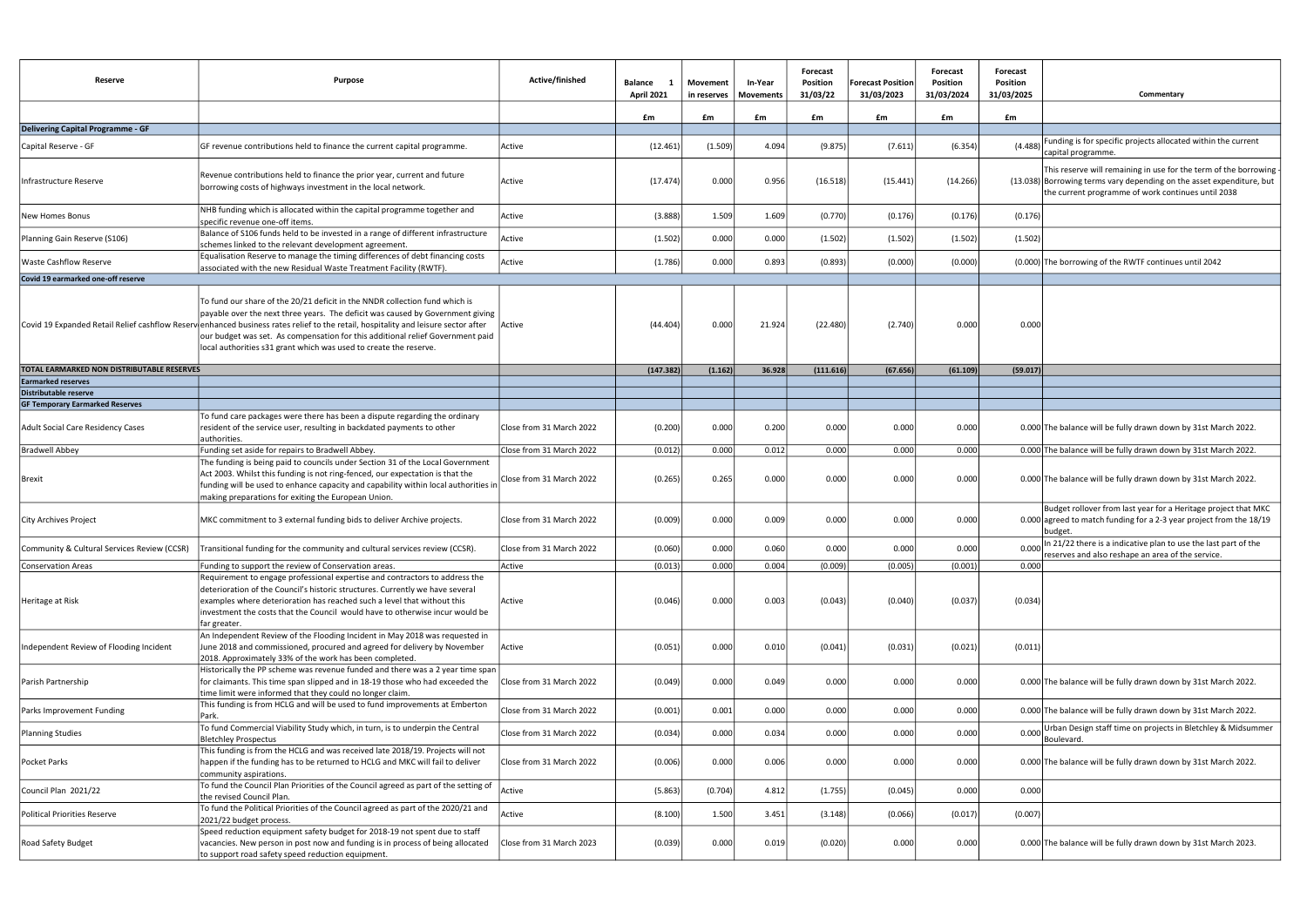| Reserve                                           | <b>Purpose</b>                                                                                                                                                                                                                                                                                                                                                                                                                                            | Active/finished          | Balance<br>- 1<br>April 2021 | Movement<br>in reserves | In-Year<br>Movements | Forecast<br><b>Position</b><br>31/03/22 | <b>Forecast Position</b><br>31/03/2023 | Forecast<br>Position<br>31/03/2024 | Forecast<br><b>Position</b><br>31/03/2025 | Commentary                                                                                                                                                                                        |
|---------------------------------------------------|-----------------------------------------------------------------------------------------------------------------------------------------------------------------------------------------------------------------------------------------------------------------------------------------------------------------------------------------------------------------------------------------------------------------------------------------------------------|--------------------------|------------------------------|-------------------------|----------------------|-----------------------------------------|----------------------------------------|------------------------------------|-------------------------------------------|---------------------------------------------------------------------------------------------------------------------------------------------------------------------------------------------------|
|                                                   |                                                                                                                                                                                                                                                                                                                                                                                                                                                           |                          | £m                           | £m                      | £m                   | £m                                      | £m                                     | £m                                 | £m                                        |                                                                                                                                                                                                   |
| <b>Delivering Capital Programme - GF</b>          |                                                                                                                                                                                                                                                                                                                                                                                                                                                           |                          |                              |                         |                      |                                         |                                        |                                    |                                           |                                                                                                                                                                                                   |
| Capital Reserve - GF                              | GF revenue contributions held to finance the current capital programme.                                                                                                                                                                                                                                                                                                                                                                                   | Active                   | (12.461)                     | (1.509)                 | 4.094                | (9.875)                                 | (7.611)                                | (6.354)                            | (4.488)                                   | Funding is for specific projects allocated within the current<br>capital programme.                                                                                                               |
| Infrastructure Reserve                            | Revenue contributions held to finance the prior year, current and future<br>borrowing costs of highways investment in the local network.                                                                                                                                                                                                                                                                                                                  | Active                   | (17.474)                     | 0.000                   | 0.956                | (16.518)                                | (15.441)                               | (14.266)                           |                                           | This reserve will remaining in use for the term of the borrowing<br>$(13.038)$ Borrowing terms vary depending on the asset expenditure, but<br>the current programme of work continues until 2038 |
| New Homes Bonus                                   | NHB funding which is allocated within the capital programme together and<br>specific revenue one-off items.                                                                                                                                                                                                                                                                                                                                               | Active                   | (3.888)                      | 1.509                   | 1.609                | (0.770)                                 | (0.176)                                | (0.176)                            | (0.176)                                   |                                                                                                                                                                                                   |
| Planning Gain Reserve (S106)                      | Balance of S106 funds held to be invested in a range of different infrastructure<br>schemes linked to the relevant development agreement.                                                                                                                                                                                                                                                                                                                 | Active                   | (1.502)                      | 0.000                   | 0.000                | (1.502)                                 | (1.502)                                | (1.502)                            | (1.502)                                   |                                                                                                                                                                                                   |
| <b>Waste Cashflow Reserve</b>                     | Equalisation Reserve to manage the timing differences of debt financing costs<br>associated with the new Residual Waste Treatment Facility (RWTF).                                                                                                                                                                                                                                                                                                        | Active                   | (1.786)                      | 0.000                   | 0.893                | (0.893)                                 | (0.000)                                | (0.000)                            |                                           | (0.000) The borrowing of the RWTF continues until 2042                                                                                                                                            |
| Covid 19 earmarked one-off reserve                |                                                                                                                                                                                                                                                                                                                                                                                                                                                           |                          |                              |                         |                      |                                         |                                        |                                    |                                           |                                                                                                                                                                                                   |
|                                                   | To fund our share of the 20/21 deficit in the NNDR collection fund which is<br>payable over the next three years. The deficit was caused by Government giving<br>Covid 19 Expanded Retail Relief cashflow Reservenhanced business rates relief to the retail, hospitality and leisure sector after<br>our budget was set. As compensation for this additional relief Government paid<br>local authorities s31 grant which was used to create the reserve. | Active                   | (44.404)                     | 0.000                   | 21.924               | (22.480)                                | (2.740)                                | 0.000                              | 0.000                                     |                                                                                                                                                                                                   |
| <b>TOTAL EARMARKED NON DISTRIBUTABLE RESERVES</b> |                                                                                                                                                                                                                                                                                                                                                                                                                                                           |                          | (147.382)                    | (1.162)                 | 36.928               | (111.616)                               | (67.656)                               | (61.109)                           | (59.017)                                  |                                                                                                                                                                                                   |
| Earmarked reserves<br>Distributable reserve       |                                                                                                                                                                                                                                                                                                                                                                                                                                                           |                          |                              |                         |                      |                                         |                                        |                                    |                                           |                                                                                                                                                                                                   |
| <b>GF Temporary Earmarked Reserves</b>            |                                                                                                                                                                                                                                                                                                                                                                                                                                                           |                          |                              |                         |                      |                                         |                                        |                                    |                                           |                                                                                                                                                                                                   |
| <b>Adult Social Care Residency Cases</b>          | To fund care packages were there has been a dispute regarding the ordinary<br>resident of the service user, resulting in backdated payments to other<br>authorities.                                                                                                                                                                                                                                                                                      | Close from 31 March 2022 | (0.200)                      | 0.000                   | 0.200                | 0.000                                   | 0.000                                  | 0.000                              |                                           | 0.000 The balance will be fully drawn down by 31st March 2022.                                                                                                                                    |
| <b>Bradwell Abbey</b>                             | Funding set aside for repairs to Bradwell Abbey.                                                                                                                                                                                                                                                                                                                                                                                                          | Close from 31 March 2022 | (0.012)                      | 0.000                   | 0.012                | 0.000                                   | 0.000                                  | 0.000                              |                                           | 0.000 The balance will be fully drawn down by 31st March 2022.                                                                                                                                    |
| Brexit                                            | The funding is being paid to councils under Section 31 of the Local Government<br>Act 2003. Whilst this funding is not ring-fenced, our expectation is that the<br>funding will be used to enhance capacity and capability within local authorities in<br>making preparations for exiting the European Union.                                                                                                                                             | Close from 31 March 2022 | (0.265)                      | 0.265                   | 0.000                | 0.000                                   | 0.000                                  | 0.000                              |                                           | 0.000 The balance will be fully drawn down by 31st March 2022.                                                                                                                                    |
| City Archives Project                             | MKC commitment to 3 external funding bids to deliver Archive projects.                                                                                                                                                                                                                                                                                                                                                                                    | Close from 31 March 2022 | (0.009)                      | 0.000                   | 0.009                | 0.000                                   | 0.000                                  | 0.000                              |                                           | Budget rollover from last year for a Heritage project that MKC<br>0.000 agreed to match funding for a 2-3 year project from the 18/19<br>budget                                                   |
|                                                   | Community & Cultural Services Review (CCSR)   Transitional funding for the community and cultural services review (CCSR)                                                                                                                                                                                                                                                                                                                                  | Close from 31 March 2022 | (0.060)                      | 0.000                   | 0.060                | 0.000                                   | 0.000                                  | 0.000                              | 0.000                                     | In 21/22 there is a indicative plan to use the last part of the<br>reserves and also reshape an area of the service.                                                                              |
| Conservation Areas                                | Funding to support the review of Conservation areas.                                                                                                                                                                                                                                                                                                                                                                                                      | Active                   | (0.013)                      | 0.000                   | 0.004                | (0.009)                                 | (0.005)                                | (0.001)                            | 0.000                                     |                                                                                                                                                                                                   |
| Heritage at Risk                                  | Requirement to engage professional expertise and contractors to address the<br>deterioration of the Council's historic structures. Currently we have several<br>examples where deterioration has reached such a level that without this<br>investment the costs that the Council would have to otherwise incur would be<br>far greater.                                                                                                                   | Active                   | (0.046)                      | 0.000                   | 0.003                | (0.043)                                 | (0.040)                                | (0.037)                            | (0.034)                                   |                                                                                                                                                                                                   |
| Independent Review of Flooding Incident           | An Independent Review of the Flooding Incident in May 2018 was requested in<br>June 2018 and commissioned, procured and agreed for delivery by November<br>2018. Approximately 33% of the work has been completed.                                                                                                                                                                                                                                        | Active                   | (0.051)                      | 0.000                   | 0.010                | (0.041)                                 | (0.031)                                | (0.021)                            | (0.011)                                   |                                                                                                                                                                                                   |
| Parish Partnership                                | Historically the PP scheme was revenue funded and there was a 2 year time span<br>for claimants. This time span slipped and in 18-19 those who had exceeded the<br>time limit were informed that they could no longer claim.                                                                                                                                                                                                                              | Close from 31 March 2022 | (0.049)                      | 0.000                   | 0.049                | 0.000                                   | 0.000                                  | 0.000                              |                                           | 0.000 The balance will be fully drawn down by 31st March 2022.                                                                                                                                    |
| Parks Improvement Funding                         | This funding is from HCLG and will be used to fund improvements at Emberton<br>Park.                                                                                                                                                                                                                                                                                                                                                                      | Close from 31 March 2022 | (0.001)                      | 0.001                   | 0.000                | 0.000                                   | 0.000                                  | 0.000                              |                                           | 0.000 The balance will be fully drawn down by 31st March 2022.                                                                                                                                    |
| <b>Planning Studies</b>                           | To fund Commercial Viability Study which, in turn, is to underpin the Central<br><b>Bletchley Prospectus</b>                                                                                                                                                                                                                                                                                                                                              | Close from 31 March 2022 | (0.034)                      | 0.000                   | 0.034                | 0.000                                   | 0.000                                  | 0.000                              | 0.000                                     | Urban Design staff time on projects in Bletchley & Midsummer<br>Boulevard.                                                                                                                        |
| Pocket Parks                                      | This funding is from the HCLG and was received late 2018/19. Projects will not<br>happen if the funding has to be returned to HCLG and MKC will fail to deliver<br>community aspirations.                                                                                                                                                                                                                                                                 | Close from 31 March 2022 | (0.006)                      | 0.000                   | 0.006                | 0.000                                   | 0.000                                  | 0.000                              |                                           | 0.000 The balance will be fully drawn down by 31st March 2022.                                                                                                                                    |
| Council Plan 2021/22                              | To fund the Council Plan Priorities of the Council agreed as part of the setting of<br>the revised Council Plan.                                                                                                                                                                                                                                                                                                                                          | Active                   | (5.863)                      | (0.704)                 | 4.812                | (1.755)                                 | (0.045)                                | 0.000                              | 0.000                                     |                                                                                                                                                                                                   |
| <b>Political Priorities Reserve</b>               | To fund the Political Priorities of the Council agreed as part of the 2020/21 and<br>2021/22 budget process.                                                                                                                                                                                                                                                                                                                                              | Active                   | (8.100)                      | 1.500                   | 3.451                | (3.148)                                 | (0.066)                                | (0.017)                            | (0.007)                                   |                                                                                                                                                                                                   |
| Road Safety Budget                                | Speed reduction equipment safety budget for 2018-19 not spent due to staff<br>vacancies. New person in post now and funding is in process of being allocated<br>to support road safety speed reduction equipment.                                                                                                                                                                                                                                         | Close from 31 March 2023 | (0.039)                      | 0.000                   | 0.019                | (0.020)                                 | 0.000                                  | 0.000                              |                                           | 0.000 The balance will be fully drawn down by 31st March 2023.                                                                                                                                    |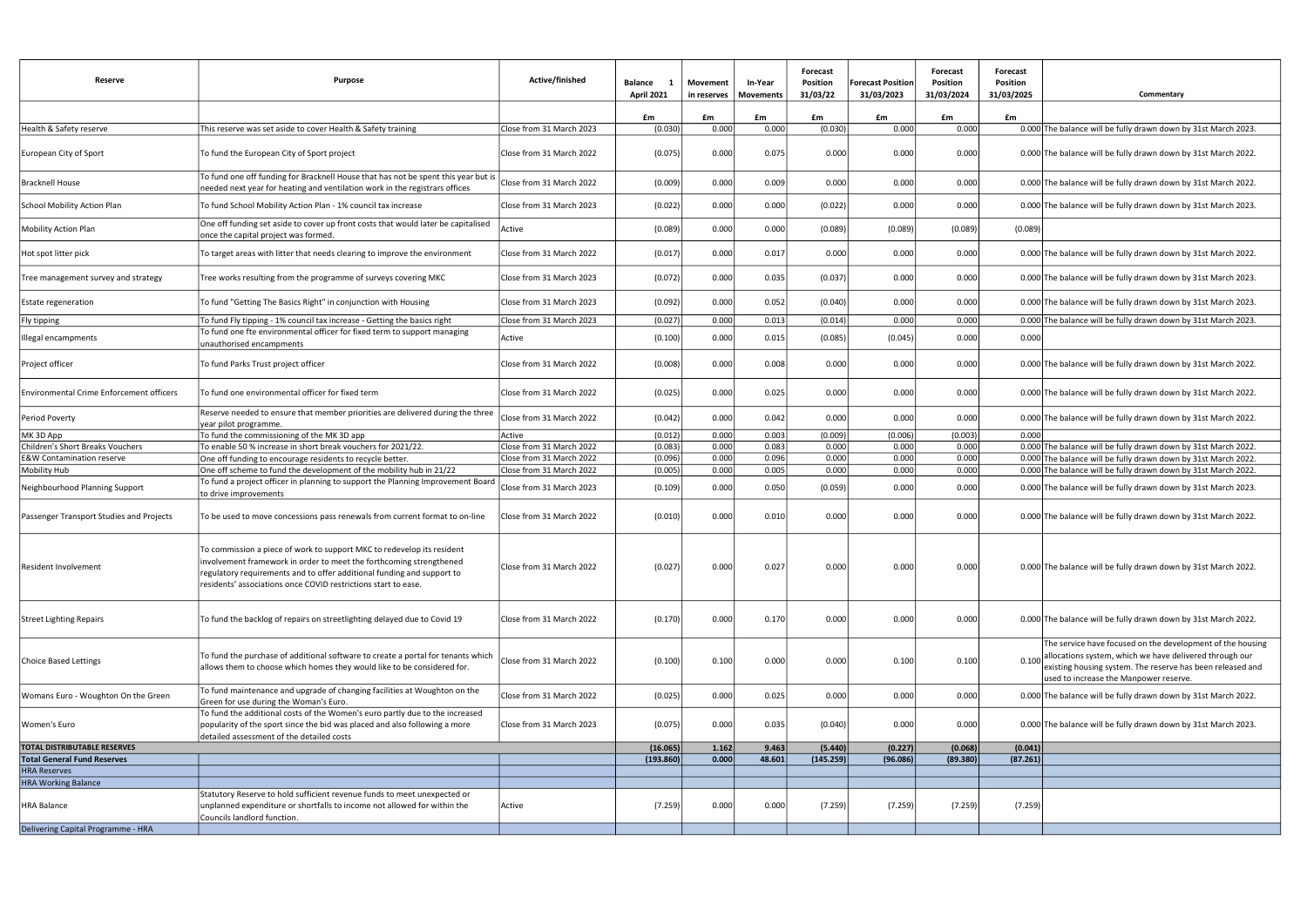| Reserve                                         | <b>Purpose</b>                                                                                                                                                                                                                                                                            | Active/finished          | <b>Balance</b><br>$\mathbf{1}$<br><b>April 2021</b> | Movement<br>in reserves | In-Year<br>Movements | Forecast<br>Position<br>31/03/22 | <b>Forecast Position</b><br>31/03/2023 | <b>Forecast</b><br>Position<br>31/03/2024 | Forecast<br><b>Position</b><br>31/03/2025 | Commentary                                                                                                                                                                                                                    |
|-------------------------------------------------|-------------------------------------------------------------------------------------------------------------------------------------------------------------------------------------------------------------------------------------------------------------------------------------------|--------------------------|-----------------------------------------------------|-------------------------|----------------------|----------------------------------|----------------------------------------|-------------------------------------------|-------------------------------------------|-------------------------------------------------------------------------------------------------------------------------------------------------------------------------------------------------------------------------------|
|                                                 |                                                                                                                                                                                                                                                                                           |                          | £m                                                  | £m                      | £m                   | £m                               | £m                                     | £m                                        | £m                                        |                                                                                                                                                                                                                               |
| Health & Safety reserve                         | This reserve was set aside to cover Health & Safety training                                                                                                                                                                                                                              | Close from 31 March 2023 | (0.030)                                             | 0.000                   | 0.000                | (0.030)                          | 0.000                                  | 0.000                                     |                                           | 0.000 The balance will be fully drawn down by 31st March 2023.                                                                                                                                                                |
| European City of Sport                          | To fund the European City of Sport project                                                                                                                                                                                                                                                | Close from 31 March 2022 | (0.075)                                             | 0.000                   | 0.075                | 0.000                            | 0.000                                  | 0.000                                     |                                           | 0.000 The balance will be fully drawn down by 31st March 2022.                                                                                                                                                                |
| <b>Bracknell House</b>                          | To fund one off funding for Bracknell House that has not be spent this year but is<br>needed next year for heating and ventilation work in the registrars offices                                                                                                                         | Close from 31 March 2022 | (0.009)                                             | 0.000                   | 0.009                | 0.000                            | 0.000                                  | 0.000                                     |                                           | 0.000 The balance will be fully drawn down by 31st March 2022.                                                                                                                                                                |
| <b>School Mobility Action Plan</b>              | To fund School Mobility Action Plan - 1% council tax increase                                                                                                                                                                                                                             | Close from 31 March 2023 | (0.022)                                             | 0.000                   | 0.000                | (0.022)                          | 0.000                                  | 0.000                                     |                                           | 0.000 The balance will be fully drawn down by 31st March 2023.                                                                                                                                                                |
| <b>Mobility Action Plan</b>                     | One off funding set aside to cover up front costs that would later be capitalised<br>once the capital project was formed.                                                                                                                                                                 | Active                   | (0.089)                                             | 0.000                   | 0.000                | (0.089)                          | (0.089)                                | (0.089)                                   | (0.089)                                   |                                                                                                                                                                                                                               |
| Hot spot litter pick                            | To target areas with litter that needs clearing to improve the environment                                                                                                                                                                                                                | Close from 31 March 2022 | (0.017)                                             | 0.000                   | 0.017                | 0.000                            | 0.000                                  | 0.000                                     |                                           | 0.000 The balance will be fully drawn down by 31st March 2022.                                                                                                                                                                |
| Tree management survey and strategy             | Tree works resulting from the programme of surveys covering MKC                                                                                                                                                                                                                           | Close from 31 March 2023 | (0.072)                                             | 0.000                   | 0.035                | (0.037)                          | 0.000                                  | 0.000                                     |                                           | 0.000 The balance will be fully drawn down by 31st March 2023.                                                                                                                                                                |
| Estate regeneration                             | To fund "Getting The Basics Right" in conjunction with Housing                                                                                                                                                                                                                            | Close from 31 March 2023 | (0.092)                                             | 0.000                   | 0.052                | (0.040)                          | 0.000                                  | 0.000                                     |                                           | 0.000 The balance will be fully drawn down by 31st March 2023.                                                                                                                                                                |
| Fly tipping                                     | To fund Fly tipping - 1% council tax increase - Getting the basics right                                                                                                                                                                                                                  | Close from 31 March 2023 | (0.027)                                             | 0.000                   | 0.013                | (0.014)                          | 0.000                                  | 0.000                                     |                                           | 0.000 The balance will be fully drawn down by 31st March 2023.                                                                                                                                                                |
| Illegal encampments                             | To fund one fte environmental officer for fixed term to support managing<br>unauthorised encampments                                                                                                                                                                                      | Active                   | (0.100)                                             | 0.000                   | 0.015                | (0.085)                          | (0.045)                                | 0.000                                     | 0.000                                     |                                                                                                                                                                                                                               |
| Project officer                                 | To fund Parks Trust project officer                                                                                                                                                                                                                                                       | Close from 31 March 2022 | (0.008)                                             | 0.000                   | 0.008                | 0.000                            | 0.000                                  | 0.000                                     |                                           | 0.000 The balance will be fully drawn down by 31st March 2022.                                                                                                                                                                |
| <b>Environmental Crime Enforcement officers</b> | To fund one environmental officer for fixed term                                                                                                                                                                                                                                          | Close from 31 March 2022 | (0.025)                                             | 0.000                   | 0.025                | 0.000                            | 0.000                                  | 0.000                                     |                                           | 0.000 The balance will be fully drawn down by 31st March 2022.                                                                                                                                                                |
| Period Poverty                                  | Reserve needed to ensure that member priorities are delivered during the three<br>year pilot programme.                                                                                                                                                                                   | Close from 31 March 2022 | (0.042)                                             | 0.000                   | 0.042                | 0.000                            | 0.000                                  | 0.000                                     |                                           | 0.000 The balance will be fully drawn down by 31st March 2022.                                                                                                                                                                |
| MK 3D App                                       | To fund the commissioning of the MK 3D app                                                                                                                                                                                                                                                | Active                   | (0.012)                                             | 0.000                   | 0.003                | (0.009)                          | (0.006)                                | (0.003)                                   | 0.000                                     |                                                                                                                                                                                                                               |
| <b>Children's Short Breaks Vouchers</b>         | To enable 50 % increase in short break vouchers for 2021/22.                                                                                                                                                                                                                              | Close from 31 March 2022 | (0.083)                                             | 0.000                   | 0.083                | 0.000                            | 0.000                                  | 0.000                                     |                                           | 0.000 The balance will be fully drawn down by 31st March 2022.                                                                                                                                                                |
| <b>E&amp;W Contamination reserve</b>            | One off funding to encourage residents to recycle better.                                                                                                                                                                                                                                 | Close from 31 March 2022 | (0.096)                                             | 0.000                   | 0.096                | 0.000                            | 0.000                                  | 0.000                                     |                                           | 0.000 The balance will be fully drawn down by 31st March 2022.                                                                                                                                                                |
| <b>Mobility Hub</b>                             | One off scheme to fund the development of the mobility hub in 21/22                                                                                                                                                                                                                       | Close from 31 March 2022 | (0.005)                                             | 0.000                   | 0.005                | 0.000                            | 0.000                                  | 0.000                                     |                                           | 0.000 The balance will be fully drawn down by 31st March 2022.                                                                                                                                                                |
| Neighbourhood Planning Support                  | To fund a project officer in planning to support the Planning Improvement Board<br>to drive improvements                                                                                                                                                                                  | Close from 31 March 2023 | (0.109)                                             | 0.000                   | 0.050                | (0.059)                          | 0.000                                  | 0.000                                     |                                           | 0.000 The balance will be fully drawn down by 31st March 2023.                                                                                                                                                                |
| Passenger Transport Studies and Projects        | To be used to move concessions pass renewals from current format to on-line                                                                                                                                                                                                               | Close from 31 March 2022 | (0.010)                                             | 0.000                   | 0.010                | 0.000                            | 0.000                                  | 0.000                                     |                                           | 0.000 The balance will be fully drawn down by 31st March 2022.                                                                                                                                                                |
| Resident Involvement                            | To commission a piece of work to support MKC to redevelop its resident<br>involvement framework in order to meet the forthcoming strengthened<br>regulatory requirements and to offer additional funding and support to<br>residents' associations once COVID restrictions start to ease. | Close from 31 March 2022 | (0.027)                                             | 0.000                   | 0.027                | 0.000                            | 0.000                                  | 0.000                                     |                                           | 0.000 The balance will be fully drawn down by 31st March 2022.                                                                                                                                                                |
| <b>Street Lighting Repairs</b>                  | To fund the backlog of repairs on streetlighting delayed due to Covid 19                                                                                                                                                                                                                  | Close from 31 March 2022 | (0.170)                                             | 0.000                   | 0.170                | 0.000                            | 0.000                                  | 0.000                                     |                                           | 0.000 The balance will be fully drawn down by 31st March 2022.                                                                                                                                                                |
| <b>Choice Based Lettings</b>                    | To fund the purchase of additional software to create a portal for tenants which<br>allows them to choose which homes they would like to be considered for.                                                                                                                               | Close from 31 March 2022 | (0.100)                                             | 0.100                   | 0.000                | 0.000                            | 0.100                                  | 0.100                                     | 0.100                                     | The service have focused on the development of the housing<br>allocations system, which we have delivered through our<br>existing housing system. The reserve has been released and<br>used to increase the Manpower reserve. |
| Womans Euro - Woughton On the Green             | To fund maintenance and upgrade of changing facilities at Woughton on the<br>Green for use during the Woman's Euro.                                                                                                                                                                       | Close from 31 March 2022 | (0.025)                                             | 0.000                   | 0.025                | 0.000                            | 0.000                                  | 0.000                                     |                                           | 0.000 The balance will be fully drawn down by 31st March 2022.                                                                                                                                                                |
| Women's Euro                                    | To fund the additional costs of the Women's euro partly due to the increased<br>popularity of the sport since the bid was placed and also following a more<br>detailed assessment of the detailed costs                                                                                   | Close from 31 March 2023 | (0.075)                                             | 0.000                   | 0.035                | (0.040)                          | 0.000                                  | 0.000                                     |                                           | 0.000 The balance will be fully drawn down by 31st March 2023.                                                                                                                                                                |
| <b>TOTAL DISTRIBUTABLE RESERVES</b>             |                                                                                                                                                                                                                                                                                           |                          | (16.065)                                            | 1.162                   | 9.463                | (5.440)                          | (0.227)                                | (0.068)                                   | (0.041)                                   |                                                                                                                                                                                                                               |
| <b>Total General Fund Reserves</b>              |                                                                                                                                                                                                                                                                                           |                          | (193.860)                                           | 0.000                   | 48.601               | (145.259)                        | (96.086)                               | (89.380)                                  | (87.261)                                  |                                                                                                                                                                                                                               |
| <b>HRA Reserves</b>                             |                                                                                                                                                                                                                                                                                           |                          |                                                     |                         |                      |                                  |                                        |                                           |                                           |                                                                                                                                                                                                                               |
| <b>HRA Working Balance</b>                      |                                                                                                                                                                                                                                                                                           |                          |                                                     |                         |                      |                                  |                                        |                                           |                                           |                                                                                                                                                                                                                               |
| <b>HRA Balance</b>                              | Statutory Reserve to hold sufficient revenue funds to meet unexpected or<br>unplanned expenditure or shortfalls to income not allowed for within the<br>Councils landlord function.                                                                                                       | Active                   | (7.259)                                             | 0.000                   | 0.000                | (7.259)                          | (7.259)                                | (7.259)                                   | (7.259)                                   |                                                                                                                                                                                                                               |
| Delivering Capital Programme - HRA              |                                                                                                                                                                                                                                                                                           |                          |                                                     |                         |                      |                                  |                                        |                                           |                                           |                                                                                                                                                                                                                               |